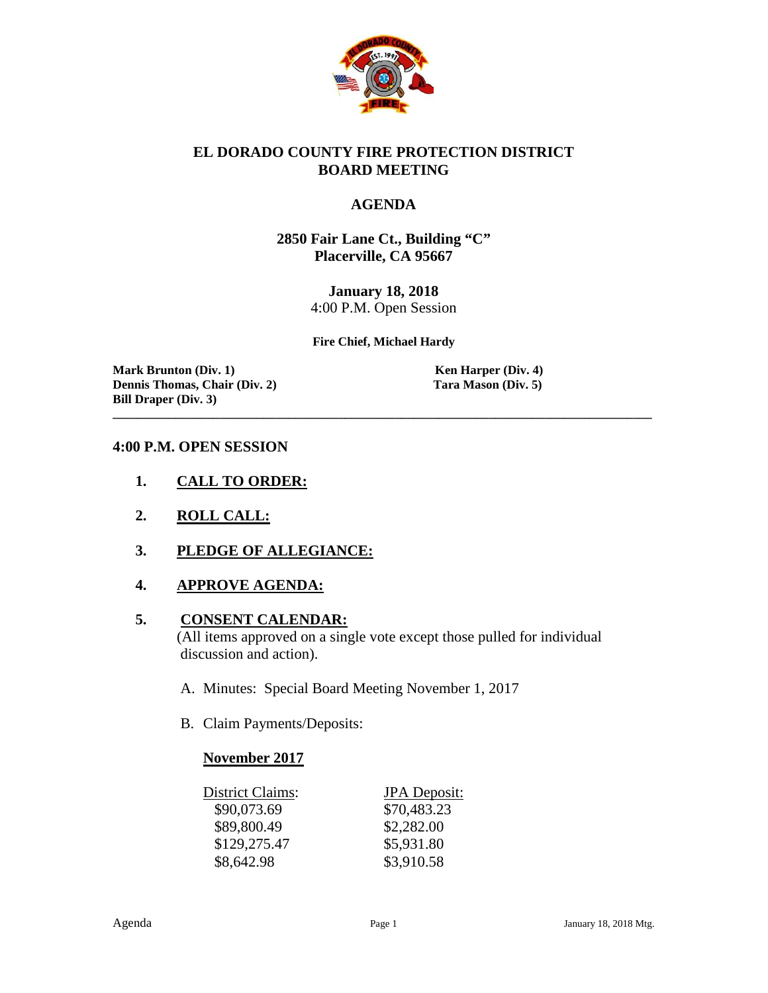

#### **EL DORADO COUNTY FIRE PROTECTION DISTRICT BOARD MEETING**

#### **AGENDA**

**2850 Fair Lane Ct., Building "C" Placerville, CA 95667**

> **January 18, 2018** 4:00 P.M. Open Session

**Fire Chief, Michael Hardy**

**\_\_\_\_\_\_\_\_\_\_\_\_\_\_\_\_\_\_\_\_\_\_\_\_\_\_\_\_\_\_\_\_\_\_\_\_\_\_\_\_\_\_\_\_\_\_\_\_\_\_\_\_\_\_\_\_\_\_\_\_\_\_\_\_\_\_\_\_\_\_\_\_\_\_\_\_\_\_\_\_\_\_\_\_\_\_**

**Mark Brunton (Div. 1)**<br> **Communis Chair (Div. 2)**<br> **Communis Chair (Div. 2)**<br> **Communis Chair (Div. 2)**<br> **Communis Chair (Div. 2) Dennis Thomas, Chair (Div. 2) Bill Draper (Div. 3)**

#### **4:00 P.M. OPEN SESSION**

- **1. CALL TO ORDER:**
- **2. ROLL CALL:**
- **3. PLEDGE OF ALLEGIANCE:**
- **4. APPROVE AGENDA:**

#### **5. CONSENT CALENDAR:**

 (All items approved on a single vote except those pulled for individual discussion and action).

- A. Minutes: Special Board Meeting November 1, 2017
- B. Claim Payments/Deposits:

#### **November 2017**

| District Claims: | <b>JPA</b> Deposit: |
|------------------|---------------------|
| \$90,073.69      | \$70,483.23         |
| \$89,800.49      | \$2,282.00          |
| \$129,275.47     | \$5,931.80          |
| \$8,642.98       | \$3,910.58          |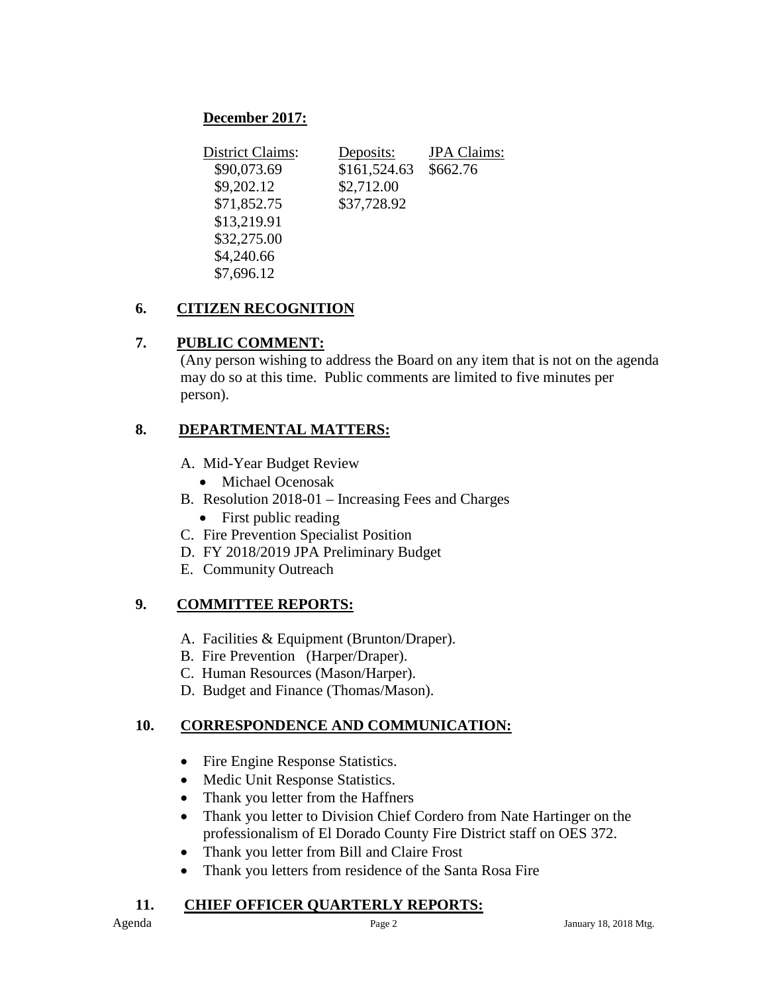# **December 2017:**

| <b>District Claims:</b> | Deposits:    | <b>JPA</b> Claims: |
|-------------------------|--------------|--------------------|
| \$90,073.69             | \$161,524.63 | \$662.76           |
| \$9,202.12              | \$2,712.00   |                    |
| \$71,852.75             | \$37,728.92  |                    |
| \$13,219.91             |              |                    |
| \$32,275.00             |              |                    |
| \$4,240.66              |              |                    |
| \$7,696.12              |              |                    |

# **6. CITIZEN RECOGNITION**

## **7. PUBLIC COMMENT:**

(Any person wishing to address the Board on any item that is not on the agenda may do so at this time. Public comments are limited to five minutes per person).

## **8. DEPARTMENTAL MATTERS:**

- A. Mid-Year Budget Review
	- Michael Ocenosak
- B. Resolution 2018-01 Increasing Fees and Charges
	- First public reading
- C. Fire Prevention Specialist Position
- D. FY 2018/2019 JPA Preliminary Budget
- E. Community Outreach

## **9. COMMITTEE REPORTS:**

- A. Facilities & Equipment (Brunton/Draper).
- B. Fire Prevention (Harper/Draper).
- C. Human Resources (Mason/Harper).
- D. Budget and Finance (Thomas/Mason).

## **10. CORRESPONDENCE AND COMMUNICATION:**

- Fire Engine Response Statistics.
- Medic Unit Response Statistics.
- Thank you letter from the Haffners
- Thank you letter to Division Chief Cordero from Nate Hartinger on the professionalism of El Dorado County Fire District staff on OES 372.
- Thank you letter from Bill and Claire Frost
- Thank you letters from residence of the Santa Rosa Fire

## **11. CHIEF OFFICER QUARTERLY REPORTS:**